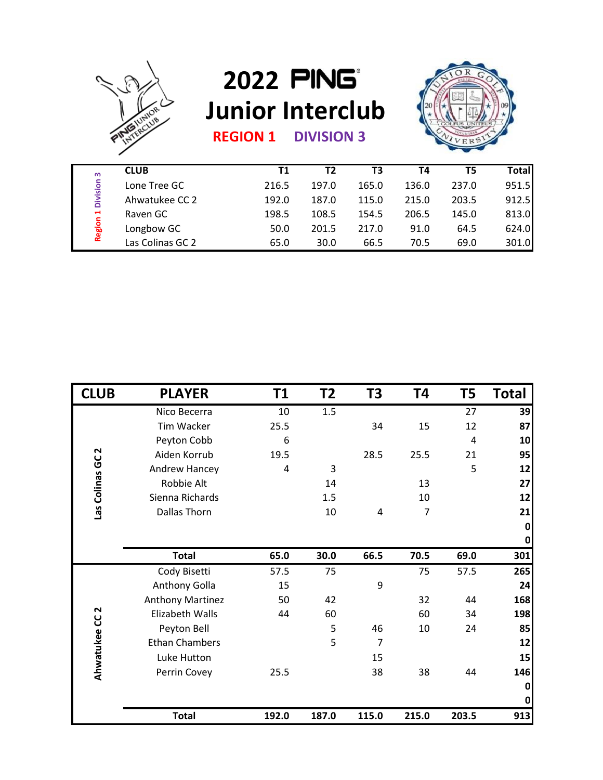

## **2022 Junior Interclub**



| <b>REGION 1</b> |  |  | <b>DIVISION 3</b> |
|-----------------|--|--|-------------------|
|-----------------|--|--|-------------------|

| m                                                  | <b>CLUB</b>      | T1    | Τ2    | T3    | Т4    | T5    | <b>Total</b> |
|----------------------------------------------------|------------------|-------|-------|-------|-------|-------|--------------|
| <b>Division</b><br>$\blacksquare$<br><b>Region</b> | Lone Tree GC     | 216.5 | 197.0 | 165.0 | 136.0 | 237.0 | 951.5        |
|                                                    | Ahwatukee CC 2   | 192.0 | 187.0 | 115.0 | 215.0 | 203.5 | 912.5        |
|                                                    | Raven GC         | 198.5 | 108.5 | 154.5 | 206.5 | 145.0 | 813.0        |
|                                                    | Longbow GC       | 50.0  | 201.5 | 217.0 | 91.0  | 64.5  | 624.0        |
|                                                    | Las Colinas GC 2 | 65.0  | 30.0  | 66.5  | 70.5  | 69.0  | 301.0        |

| <b>Region 1 Division 3</b><br>216.5<br>197.0<br>165.0<br>136.0<br>Ahwatukee CC 2<br>192.0<br>187.0<br>115.0<br>215.0<br>203.5<br>Raven GC<br>198.5<br>108.5<br>154.5<br>206.5<br>145.0<br>Longbow GC<br>50.0<br>201.5<br>217.0<br>91.0<br>64.5<br>Las Colinas GC 2<br>30.0<br>66.5<br>70.5<br>69.0<br>65.0<br><b>CLUB</b><br><b>PLAYER</b><br>T1<br>T <sub>2</sub><br>T3<br>T4<br>T5<br>1.5<br>Nico Becerra<br>10<br>27<br>25.5<br>15<br>12<br>Tim Wacker<br>34<br>Peyton Cobb<br>6<br>4<br>Las Colinas GC <sub>2</sub><br>Aiden Korrub<br>28.5<br>19.5<br>25.5<br>21<br>5<br>Andrew Hancey<br>4<br>3<br>Robbie Alt<br>14<br>13<br>Sienna Richards<br>1.5<br>10<br>Dallas Thorn<br>10<br>$\overline{7}$<br>4<br><b>Total</b><br>65.0<br>30.0<br>66.5<br>70.5<br>69.0<br>Cody Bisetti<br>57.5<br>57.5<br>75<br>75<br>Anthony Golla<br>9<br>15<br><b>Anthony Martinez</b><br>42<br>32<br>50<br>44<br>Z<br>60<br>34<br>Elizabeth Walls<br>44<br>60<br>Ahwatukee CC<br>Peyton Bell<br>5<br>46<br>10<br>24<br>5<br><b>Ethan Chambers</b><br>$\overline{7}$<br>Luke Hutton<br>15<br>Perrin Covey<br>38<br>38<br>25.5<br>44<br><b>Total</b><br>192.0<br>187.0<br>115.0<br>215.0<br>203.5 |  |              |  |  |       |              |
|-----------------------------------------------------------------------------------------------------------------------------------------------------------------------------------------------------------------------------------------------------------------------------------------------------------------------------------------------------------------------------------------------------------------------------------------------------------------------------------------------------------------------------------------------------------------------------------------------------------------------------------------------------------------------------------------------------------------------------------------------------------------------------------------------------------------------------------------------------------------------------------------------------------------------------------------------------------------------------------------------------------------------------------------------------------------------------------------------------------------------------------------------------------------------------------|--|--------------|--|--|-------|--------------|
|                                                                                                                                                                                                                                                                                                                                                                                                                                                                                                                                                                                                                                                                                                                                                                                                                                                                                                                                                                                                                                                                                                                                                                                   |  | Lone Tree GC |  |  | 237.0 | 951.5        |
|                                                                                                                                                                                                                                                                                                                                                                                                                                                                                                                                                                                                                                                                                                                                                                                                                                                                                                                                                                                                                                                                                                                                                                                   |  |              |  |  |       | 912.5        |
|                                                                                                                                                                                                                                                                                                                                                                                                                                                                                                                                                                                                                                                                                                                                                                                                                                                                                                                                                                                                                                                                                                                                                                                   |  |              |  |  |       | 813.0        |
|                                                                                                                                                                                                                                                                                                                                                                                                                                                                                                                                                                                                                                                                                                                                                                                                                                                                                                                                                                                                                                                                                                                                                                                   |  |              |  |  |       | 624.0        |
|                                                                                                                                                                                                                                                                                                                                                                                                                                                                                                                                                                                                                                                                                                                                                                                                                                                                                                                                                                                                                                                                                                                                                                                   |  |              |  |  |       | 301.0        |
|                                                                                                                                                                                                                                                                                                                                                                                                                                                                                                                                                                                                                                                                                                                                                                                                                                                                                                                                                                                                                                                                                                                                                                                   |  |              |  |  |       |              |
|                                                                                                                                                                                                                                                                                                                                                                                                                                                                                                                                                                                                                                                                                                                                                                                                                                                                                                                                                                                                                                                                                                                                                                                   |  |              |  |  |       | <b>Total</b> |
|                                                                                                                                                                                                                                                                                                                                                                                                                                                                                                                                                                                                                                                                                                                                                                                                                                                                                                                                                                                                                                                                                                                                                                                   |  |              |  |  |       | 39           |
|                                                                                                                                                                                                                                                                                                                                                                                                                                                                                                                                                                                                                                                                                                                                                                                                                                                                                                                                                                                                                                                                                                                                                                                   |  |              |  |  |       | 87           |
|                                                                                                                                                                                                                                                                                                                                                                                                                                                                                                                                                                                                                                                                                                                                                                                                                                                                                                                                                                                                                                                                                                                                                                                   |  |              |  |  |       | 10           |
|                                                                                                                                                                                                                                                                                                                                                                                                                                                                                                                                                                                                                                                                                                                                                                                                                                                                                                                                                                                                                                                                                                                                                                                   |  |              |  |  |       | 95           |
|                                                                                                                                                                                                                                                                                                                                                                                                                                                                                                                                                                                                                                                                                                                                                                                                                                                                                                                                                                                                                                                                                                                                                                                   |  |              |  |  |       | 12           |
|                                                                                                                                                                                                                                                                                                                                                                                                                                                                                                                                                                                                                                                                                                                                                                                                                                                                                                                                                                                                                                                                                                                                                                                   |  |              |  |  |       | 27           |
|                                                                                                                                                                                                                                                                                                                                                                                                                                                                                                                                                                                                                                                                                                                                                                                                                                                                                                                                                                                                                                                                                                                                                                                   |  |              |  |  |       | 12           |
|                                                                                                                                                                                                                                                                                                                                                                                                                                                                                                                                                                                                                                                                                                                                                                                                                                                                                                                                                                                                                                                                                                                                                                                   |  |              |  |  |       | 21           |
|                                                                                                                                                                                                                                                                                                                                                                                                                                                                                                                                                                                                                                                                                                                                                                                                                                                                                                                                                                                                                                                                                                                                                                                   |  |              |  |  |       | $\mathbf 0$  |
|                                                                                                                                                                                                                                                                                                                                                                                                                                                                                                                                                                                                                                                                                                                                                                                                                                                                                                                                                                                                                                                                                                                                                                                   |  |              |  |  |       | $\mathbf{0}$ |
|                                                                                                                                                                                                                                                                                                                                                                                                                                                                                                                                                                                                                                                                                                                                                                                                                                                                                                                                                                                                                                                                                                                                                                                   |  |              |  |  |       | 301          |
|                                                                                                                                                                                                                                                                                                                                                                                                                                                                                                                                                                                                                                                                                                                                                                                                                                                                                                                                                                                                                                                                                                                                                                                   |  |              |  |  |       | 265          |
|                                                                                                                                                                                                                                                                                                                                                                                                                                                                                                                                                                                                                                                                                                                                                                                                                                                                                                                                                                                                                                                                                                                                                                                   |  |              |  |  |       | 24           |
|                                                                                                                                                                                                                                                                                                                                                                                                                                                                                                                                                                                                                                                                                                                                                                                                                                                                                                                                                                                                                                                                                                                                                                                   |  |              |  |  |       | 168          |
|                                                                                                                                                                                                                                                                                                                                                                                                                                                                                                                                                                                                                                                                                                                                                                                                                                                                                                                                                                                                                                                                                                                                                                                   |  |              |  |  |       | <b>198</b>   |
|                                                                                                                                                                                                                                                                                                                                                                                                                                                                                                                                                                                                                                                                                                                                                                                                                                                                                                                                                                                                                                                                                                                                                                                   |  |              |  |  |       | 85           |
|                                                                                                                                                                                                                                                                                                                                                                                                                                                                                                                                                                                                                                                                                                                                                                                                                                                                                                                                                                                                                                                                                                                                                                                   |  |              |  |  |       | 12           |
|                                                                                                                                                                                                                                                                                                                                                                                                                                                                                                                                                                                                                                                                                                                                                                                                                                                                                                                                                                                                                                                                                                                                                                                   |  |              |  |  |       | 15           |
|                                                                                                                                                                                                                                                                                                                                                                                                                                                                                                                                                                                                                                                                                                                                                                                                                                                                                                                                                                                                                                                                                                                                                                                   |  |              |  |  |       | 146          |
|                                                                                                                                                                                                                                                                                                                                                                                                                                                                                                                                                                                                                                                                                                                                                                                                                                                                                                                                                                                                                                                                                                                                                                                   |  |              |  |  |       | 0            |
|                                                                                                                                                                                                                                                                                                                                                                                                                                                                                                                                                                                                                                                                                                                                                                                                                                                                                                                                                                                                                                                                                                                                                                                   |  |              |  |  |       | $\mathbf 0$  |
|                                                                                                                                                                                                                                                                                                                                                                                                                                                                                                                                                                                                                                                                                                                                                                                                                                                                                                                                                                                                                                                                                                                                                                                   |  |              |  |  |       | 913          |